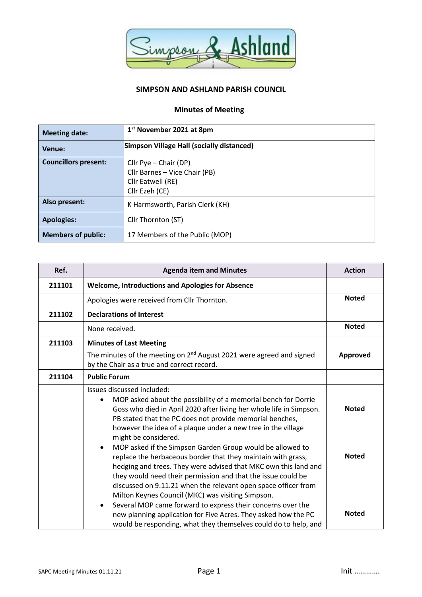

## **SIMPSON AND ASHLAND PARISH COUNCIL**

## **Minutes of Meeting**

| <b>Meeting date:</b>        | 1 <sup>st</sup> November 2021 at 8pm                                                          |  |
|-----------------------------|-----------------------------------------------------------------------------------------------|--|
| Venue:                      | Simpson Village Hall (socially distanced)                                                     |  |
| <b>Councillors present:</b> | Cllr Pye - Chair (DP)<br>Cllr Barnes - Vice Chair (PB)<br>Cllr Eatwell (RE)<br>Cllr Ezeh (CE) |  |
| Also present:               | K Harmsworth, Parish Clerk (KH)                                                               |  |
| <b>Apologies:</b>           | Cllr Thornton (ST)                                                                            |  |
| <b>Members of public:</b>   | 17 Members of the Public (MOP)                                                                |  |

| Ref.   | <b>Agenda item and Minutes</b>                                                                                                                                                                                                                                                                                                                                                                                                                                                                                                                                                                                                                                                                                 | <b>Action</b>                |
|--------|----------------------------------------------------------------------------------------------------------------------------------------------------------------------------------------------------------------------------------------------------------------------------------------------------------------------------------------------------------------------------------------------------------------------------------------------------------------------------------------------------------------------------------------------------------------------------------------------------------------------------------------------------------------------------------------------------------------|------------------------------|
| 211101 | <b>Welcome, Introductions and Apologies for Absence</b>                                                                                                                                                                                                                                                                                                                                                                                                                                                                                                                                                                                                                                                        |                              |
|        | Apologies were received from Cllr Thornton.                                                                                                                                                                                                                                                                                                                                                                                                                                                                                                                                                                                                                                                                    | <b>Noted</b>                 |
| 211102 | <b>Declarations of Interest</b>                                                                                                                                                                                                                                                                                                                                                                                                                                                                                                                                                                                                                                                                                |                              |
|        | None received.                                                                                                                                                                                                                                                                                                                                                                                                                                                                                                                                                                                                                                                                                                 | <b>Noted</b>                 |
| 211103 | <b>Minutes of Last Meeting</b>                                                                                                                                                                                                                                                                                                                                                                                                                                                                                                                                                                                                                                                                                 |                              |
|        | The minutes of the meeting on 2 <sup>nd</sup> August 2021 were agreed and signed<br>by the Chair as a true and correct record.                                                                                                                                                                                                                                                                                                                                                                                                                                                                                                                                                                                 | Approved                     |
| 211104 | <b>Public Forum</b>                                                                                                                                                                                                                                                                                                                                                                                                                                                                                                                                                                                                                                                                                            |                              |
|        | Issues discussed included:<br>MOP asked about the possibility of a memorial bench for Dorrie<br>Goss who died in April 2020 after living her whole life in Simpson.<br>PB stated that the PC does not provide memorial benches,<br>however the idea of a plaque under a new tree in the village<br>might be considered.<br>MOP asked if the Simpson Garden Group would be allowed to<br>replace the herbaceous border that they maintain with grass,<br>hedging and trees. They were advised that MKC own this land and<br>they would need their permission and that the issue could be<br>discussed on 9.11.21 when the relevant open space officer from<br>Milton Keynes Council (MKC) was visiting Simpson. | <b>Noted</b><br><b>Noted</b> |
|        | Several MOP came forward to express their concerns over the<br>new planning application for Five Acres. They asked how the PC<br>would be responding, what they themselves could do to help, and                                                                                                                                                                                                                                                                                                                                                                                                                                                                                                               | <b>Noted</b>                 |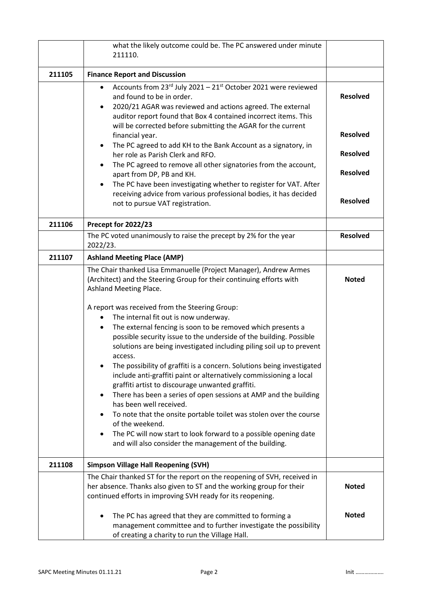|        | what the likely outcome could be. The PC answered under minute<br>211110.                                                                                                                                                                                                                                                                                                                                                                                                                                                   |                 |
|--------|-----------------------------------------------------------------------------------------------------------------------------------------------------------------------------------------------------------------------------------------------------------------------------------------------------------------------------------------------------------------------------------------------------------------------------------------------------------------------------------------------------------------------------|-----------------|
| 211105 | <b>Finance Report and Discussion</b>                                                                                                                                                                                                                                                                                                                                                                                                                                                                                        |                 |
|        | Accounts from 23rd July 2021 - 21 <sup>st</sup> October 2021 were reviewed<br>٠<br>and found to be in order.<br>2020/21 AGAR was reviewed and actions agreed. The external<br>$\bullet$<br>auditor report found that Box 4 contained incorrect items. This<br>will be corrected before submitting the AGAR for the current                                                                                                                                                                                                  | <b>Resolved</b> |
|        | financial year.                                                                                                                                                                                                                                                                                                                                                                                                                                                                                                             | <b>Resolved</b> |
|        | The PC agreed to add KH to the Bank Account as a signatory, in<br>$\bullet$<br>her role as Parish Clerk and RFO.                                                                                                                                                                                                                                                                                                                                                                                                            | <b>Resolved</b> |
|        | The PC agreed to remove all other signatories from the account,<br>$\bullet$<br>apart from DP, PB and KH.                                                                                                                                                                                                                                                                                                                                                                                                                   | <b>Resolved</b> |
|        | The PC have been investigating whether to register for VAT. After<br>$\bullet$<br>receiving advice from various professional bodies, it has decided<br>not to pursue VAT registration.                                                                                                                                                                                                                                                                                                                                      | <b>Resolved</b> |
| 211106 | Precept for 2022/23                                                                                                                                                                                                                                                                                                                                                                                                                                                                                                         |                 |
|        | The PC voted unanimously to raise the precept by 2% for the year<br>2022/23.                                                                                                                                                                                                                                                                                                                                                                                                                                                | <b>Resolved</b> |
| 211107 | <b>Ashland Meeting Place (AMP)</b>                                                                                                                                                                                                                                                                                                                                                                                                                                                                                          |                 |
|        | The Chair thanked Lisa Emmanuelle (Project Manager), Andrew Armes<br>(Architect) and the Steering Group for their continuing efforts with<br>Ashland Meeting Place.<br>A report was received from the Steering Group:<br>The internal fit out is now underway.<br>$\bullet$<br>The external fencing is soon to be removed which presents a<br>٠<br>possible security issue to the underside of the building. Possible<br>solutions are being investigated including piling soil up to prevent<br>access.                    | <b>Noted</b>    |
|        | The possibility of graffiti is a concern. Solutions being investigated<br>include anti-graffiti paint or alternatively commissioning a local<br>graffiti artist to discourage unwanted graffiti.<br>There has been a series of open sessions at AMP and the building<br>٠<br>has been well received.<br>To note that the onsite portable toilet was stolen over the course<br>of the weekend.<br>The PC will now start to look forward to a possible opening date<br>and will also consider the management of the building. |                 |
| 211108 | <b>Simpson Village Hall Reopening (SVH)</b>                                                                                                                                                                                                                                                                                                                                                                                                                                                                                 |                 |
|        | The Chair thanked ST for the report on the reopening of SVH, received in<br>her absence. Thanks also given to ST and the working group for their<br>continued efforts in improving SVH ready for its reopening.                                                                                                                                                                                                                                                                                                             | <b>Noted</b>    |
|        | The PC has agreed that they are committed to forming a<br>management committee and to further investigate the possibility<br>of creating a charity to run the Village Hall.                                                                                                                                                                                                                                                                                                                                                 | <b>Noted</b>    |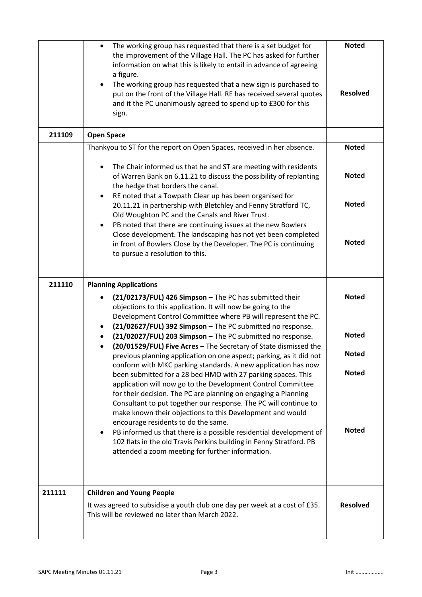|        | The working group has requested that there is a set budget for<br>$\bullet$<br>the improvement of the Village Hall. The PC has asked for further<br>information on what this is likely to entail in advance of agreeing<br>a figure.<br>The working group has requested that a new sign is purchased to<br>$\bullet$<br>put on the front of the Village Hall. RE has received several quotes<br>and it the PC unanimously agreed to spend up to £300 for this<br>sign.                                                                                                                                                                                                                                                                                                                                                                                                                                                                                                                                                                               | <b>Noted</b><br><b>Resolved</b>                              |
|--------|------------------------------------------------------------------------------------------------------------------------------------------------------------------------------------------------------------------------------------------------------------------------------------------------------------------------------------------------------------------------------------------------------------------------------------------------------------------------------------------------------------------------------------------------------------------------------------------------------------------------------------------------------------------------------------------------------------------------------------------------------------------------------------------------------------------------------------------------------------------------------------------------------------------------------------------------------------------------------------------------------------------------------------------------------|--------------------------------------------------------------|
| 211109 | <b>Open Space</b>                                                                                                                                                                                                                                                                                                                                                                                                                                                                                                                                                                                                                                                                                                                                                                                                                                                                                                                                                                                                                                    |                                                              |
|        | Thankyou to ST for the report on Open Spaces, received in her absence.<br>The Chair informed us that he and ST are meeting with residents<br>of Warren Bank on 6.11.21 to discuss the possibility of replanting<br>the hedge that borders the canal.<br>RE noted that a Towpath Clear up has been organised for<br>$\bullet$<br>20.11.21 in partnership with Bletchley and Fenny Stratford TC,<br>Old Woughton PC and the Canals and River Trust.<br>PB noted that there are continuing issues at the new Bowlers<br>$\bullet$<br>Close development. The landscaping has not yet been completed<br>in front of Bowlers Close by the Developer. The PC is continuing<br>to pursue a resolution to this.                                                                                                                                                                                                                                                                                                                                               | <b>Noted</b><br><b>Noted</b><br><b>Noted</b><br><b>Noted</b> |
|        |                                                                                                                                                                                                                                                                                                                                                                                                                                                                                                                                                                                                                                                                                                                                                                                                                                                                                                                                                                                                                                                      |                                                              |
| 211110 | <b>Planning Applications</b><br>(21/02173/FUL) 426 Simpson - The PC has submitted their                                                                                                                                                                                                                                                                                                                                                                                                                                                                                                                                                                                                                                                                                                                                                                                                                                                                                                                                                              | <b>Noted</b>                                                 |
|        | objections to this application. It will now be going to the<br>Development Control Committee where PB will represent the PC.<br>(21/02627/FUL) 392 Simpson - The PC submitted no response.<br>(21/02027/FUL) 203 Simpson - The PC submitted no response.<br>(20/01529/FUL) Five Acres - The Secretary of State dismissed the<br>previous planning application on one aspect; parking, as it did not<br>conform with MKC parking standards. A new application has now<br>been submitted for a 28 bed HMO with 27 parking spaces. This<br>application will now go to the Development Control Committee<br>for their decision. The PC are planning on engaging a Planning<br>Consultant to put together our response. The PC will continue to<br>make known their objections to this Development and would<br>encourage residents to do the same.<br>PB informed us that there is a possible residential development of<br>٠<br>102 flats in the old Travis Perkins building in Fenny Stratford. PB<br>attended a zoom meeting for further information. | <b>Noted</b><br><b>Noted</b><br><b>Noted</b><br><b>Noted</b> |
| 211111 | <b>Children and Young People</b>                                                                                                                                                                                                                                                                                                                                                                                                                                                                                                                                                                                                                                                                                                                                                                                                                                                                                                                                                                                                                     |                                                              |
|        | It was agreed to subsidise a youth club one day per week at a cost of £35.<br>This will be reviewed no later than March 2022.                                                                                                                                                                                                                                                                                                                                                                                                                                                                                                                                                                                                                                                                                                                                                                                                                                                                                                                        | <b>Resolved</b>                                              |